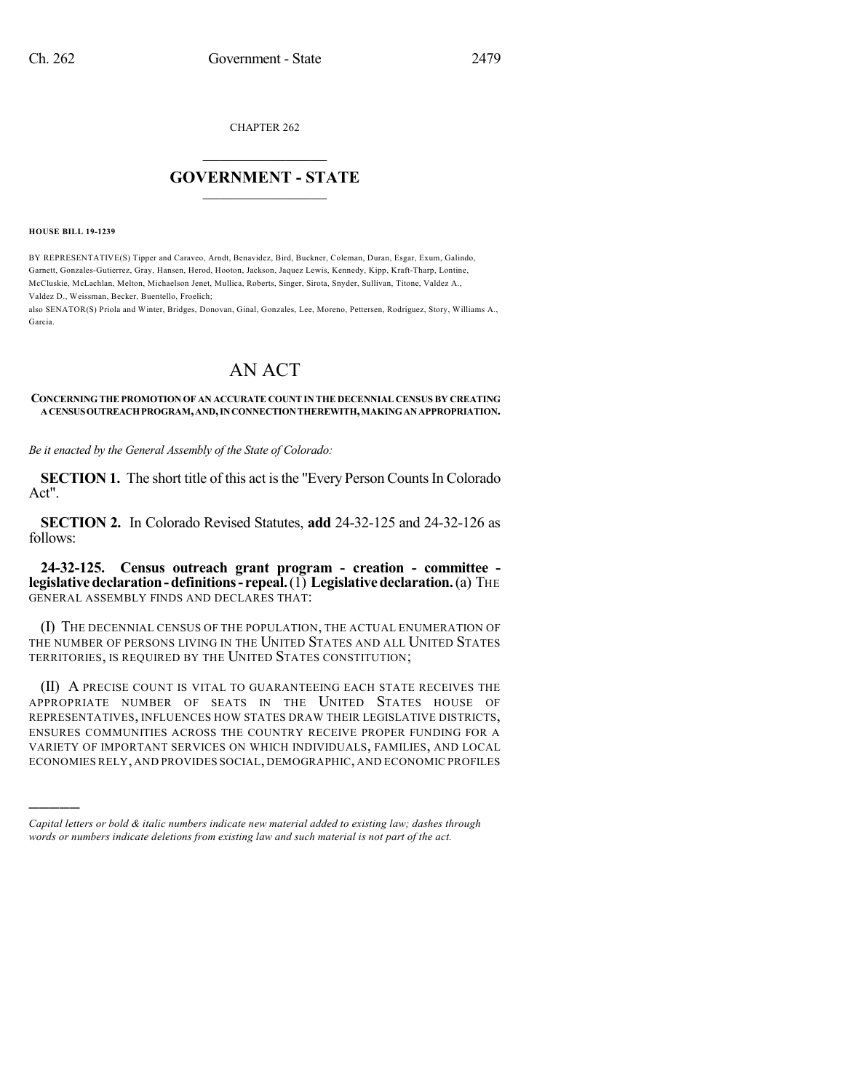CHAPTER 262

## $\mathcal{L}_\text{max}$  . The set of the set of the set of the set of the set of the set of the set of the set of the set of the set of the set of the set of the set of the set of the set of the set of the set of the set of the set **GOVERNMENT - STATE**  $\_$   $\_$   $\_$   $\_$   $\_$   $\_$   $\_$   $\_$   $\_$

**HOUSE BILL 19-1239**

)))))

BY REPRESENTATIVE(S) Tipper and Caraveo, Arndt, Benavidez, Bird, Buckner, Coleman, Duran, Esgar, Exum, Galindo, Garnett, Gonzales-Gutierrez, Gray, Hansen, Herod, Hooton, Jackson, Jaquez Lewis, Kennedy, Kipp, Kraft-Tharp, Lontine, McCluskie, McLachlan, Melton, Michaelson Jenet, Mullica, Roberts, Singer, Sirota, Snyder, Sullivan, Titone, Valdez A., Valdez D., Weissman, Becker, Buentello, Froelich;

also SENATOR(S) Priola and Winter, Bridges, Donovan, Ginal, Gonzales, Lee, Moreno, Pettersen, Rodriguez, Story, Williams A., Garcia.

## AN ACT

## **CONCERNING THE PROMOTION OF AN ACCURATE COUNT IN THE DECENNIAL CENSUS BY CREATING ACENSUSOUTREACHPROGRAM,AND,INCONNECTIONTHEREWITH,MAKINGANAPPROPRIATION.**

*Be it enacted by the General Assembly of the State of Colorado:*

**SECTION 1.** The short title of this act is the "Every Person Counts In Colorado" Act".

**SECTION 2.** In Colorado Revised Statutes, **add** 24-32-125 and 24-32-126 as follows:

**24-32-125. Census outreach grant program - creation - committee legislative declaration - definitions - repeal.** (1) **Legislative declaration.** (a) THE GENERAL ASSEMBLY FINDS AND DECLARES THAT:

(I) THE DECENNIAL CENSUS OF THE POPULATION, THE ACTUAL ENUMERATION OF THE NUMBER OF PERSONS LIVING IN THE UNITED STATES AND ALL UNITED STATES TERRITORIES, IS REQUIRED BY THE UNITED STATES CONSTITUTION;

(II) A PRECISE COUNT IS VITAL TO GUARANTEEING EACH STATE RECEIVES THE APPROPRIATE NUMBER OF SEATS IN THE UNITED STATES HOUSE OF REPRESENTATIVES, INFLUENCES HOW STATES DRAW THEIR LEGISLATIVE DISTRICTS, ENSURES COMMUNITIES ACROSS THE COUNTRY RECEIVE PROPER FUNDING FOR A VARIETY OF IMPORTANT SERVICES ON WHICH INDIVIDUALS, FAMILIES, AND LOCAL ECONOMIES RELY, AND PROVIDES SOCIAL, DEMOGRAPHIC, AND ECONOMIC PROFILES

*Capital letters or bold & italic numbers indicate new material added to existing law; dashes through words or numbers indicate deletions from existing law and such material is not part of the act.*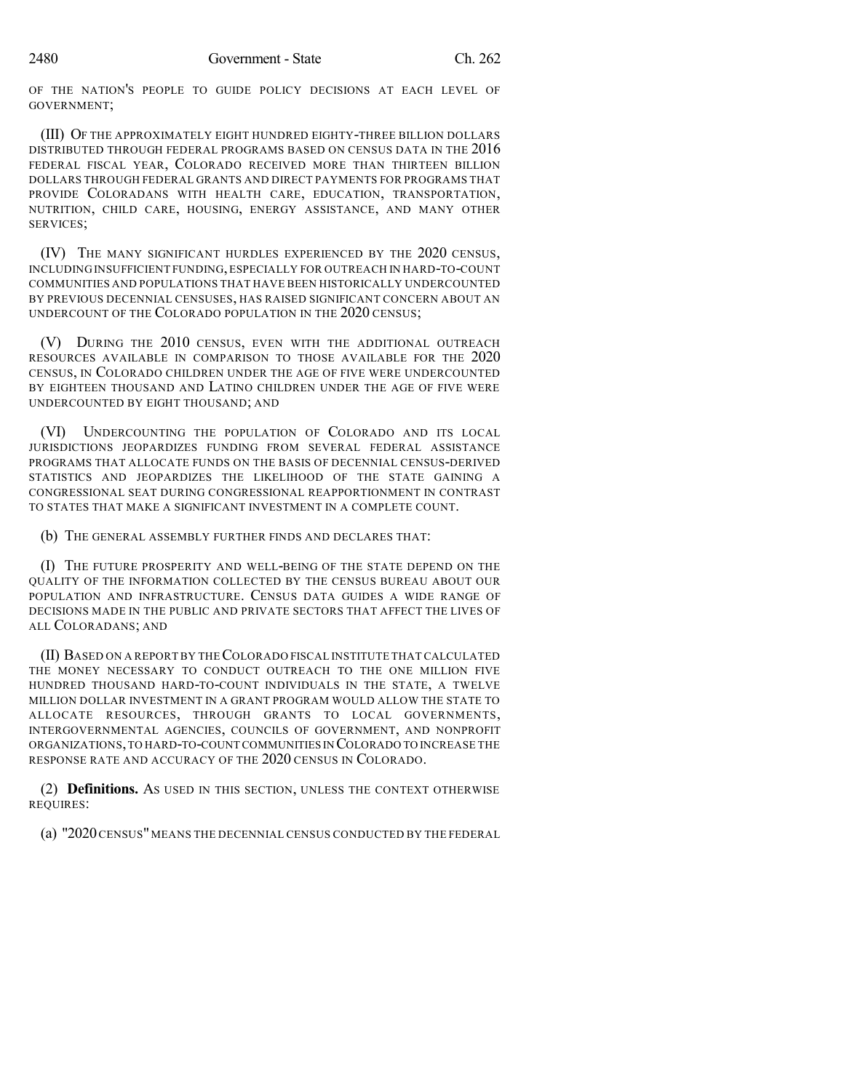OF THE NATION'S PEOPLE TO GUIDE POLICY DECISIONS AT EACH LEVEL OF GOVERNMENT;

(III) OF THE APPROXIMATELY EIGHT HUNDRED EIGHTY-THREE BILLION DOLLARS DISTRIBUTED THROUGH FEDERAL PROGRAMS BASED ON CENSUS DATA IN THE 2016 FEDERAL FISCAL YEAR, COLORADO RECEIVED MORE THAN THIRTEEN BILLION DOLLARS THROUGH FEDERAL GRANTS AND DIRECT PAYMENTS FOR PROGRAMS THAT PROVIDE COLORADANS WITH HEALTH CARE, EDUCATION, TRANSPORTATION, NUTRITION, CHILD CARE, HOUSING, ENERGY ASSISTANCE, AND MANY OTHER SERVICES;

(IV) THE MANY SIGNIFICANT HURDLES EXPERIENCED BY THE 2020 CENSUS, INCLUDING INSUFFICIENT FUNDING,ESPECIALLY FOR OUTREACH IN HARD-TO-COUNT COMMUNITIES AND POPULATIONS THAT HAVE BEEN HISTORICALLY UNDERCOUNTED BY PREVIOUS DECENNIAL CENSUSES, HAS RAISED SIGNIFICANT CONCERN ABOUT AN UNDERCOUNT OF THE COLORADO POPULATION IN THE 2020 CENSUS;

(V) DURING THE 2010 CENSUS, EVEN WITH THE ADDITIONAL OUTREACH RESOURCES AVAILABLE IN COMPARISON TO THOSE AVAILABLE FOR THE 2020 CENSUS, IN COLORADO CHILDREN UNDER THE AGE OF FIVE WERE UNDERCOUNTED BY EIGHTEEN THOUSAND AND LATINO CHILDREN UNDER THE AGE OF FIVE WERE UNDERCOUNTED BY EIGHT THOUSAND; AND

(VI) UNDERCOUNTING THE POPULATION OF COLORADO AND ITS LOCAL JURISDICTIONS JEOPARDIZES FUNDING FROM SEVERAL FEDERAL ASSISTANCE PROGRAMS THAT ALLOCATE FUNDS ON THE BASIS OF DECENNIAL CENSUS-DERIVED STATISTICS AND JEOPARDIZES THE LIKELIHOOD OF THE STATE GAINING A CONGRESSIONAL SEAT DURING CONGRESSIONAL REAPPORTIONMENT IN CONTRAST TO STATES THAT MAKE A SIGNIFICANT INVESTMENT IN A COMPLETE COUNT.

(b) THE GENERAL ASSEMBLY FURTHER FINDS AND DECLARES THAT:

(I) THE FUTURE PROSPERITY AND WELL-BEING OF THE STATE DEPEND ON THE QUALITY OF THE INFORMATION COLLECTED BY THE CENSUS BUREAU ABOUT OUR POPULATION AND INFRASTRUCTURE. CENSUS DATA GUIDES A WIDE RANGE OF DECISIONS MADE IN THE PUBLIC AND PRIVATE SECTORS THAT AFFECT THE LIVES OF ALL COLORADANS; AND

(II) BASED ON A REPORT BY THECOLORADO FISCAL INSTITUTE THAT CALCULATED THE MONEY NECESSARY TO CONDUCT OUTREACH TO THE ONE MILLION FIVE HUNDRED THOUSAND HARD-TO-COUNT INDIVIDUALS IN THE STATE, A TWELVE MILLION DOLLAR INVESTMENT IN A GRANT PROGRAM WOULD ALLOW THE STATE TO ALLOCATE RESOURCES, THROUGH GRANTS TO LOCAL GOVERNMENTS, INTERGOVERNMENTAL AGENCIES, COUNCILS OF GOVERNMENT, AND NONPROFIT ORGANIZATIONS,TO HARD-TO-COUNT COMMUNITIES IN COLORADO TO INCREASE THE RESPONSE RATE AND ACCURACY OF THE 2020 CENSUS IN COLORADO.

(2) **Definitions.** AS USED IN THIS SECTION, UNLESS THE CONTEXT OTHERWISE REQUIRES:

(a) "2020 CENSUS" MEANS THE DECENNIAL CENSUS CONDUCTED BY THE FEDERAL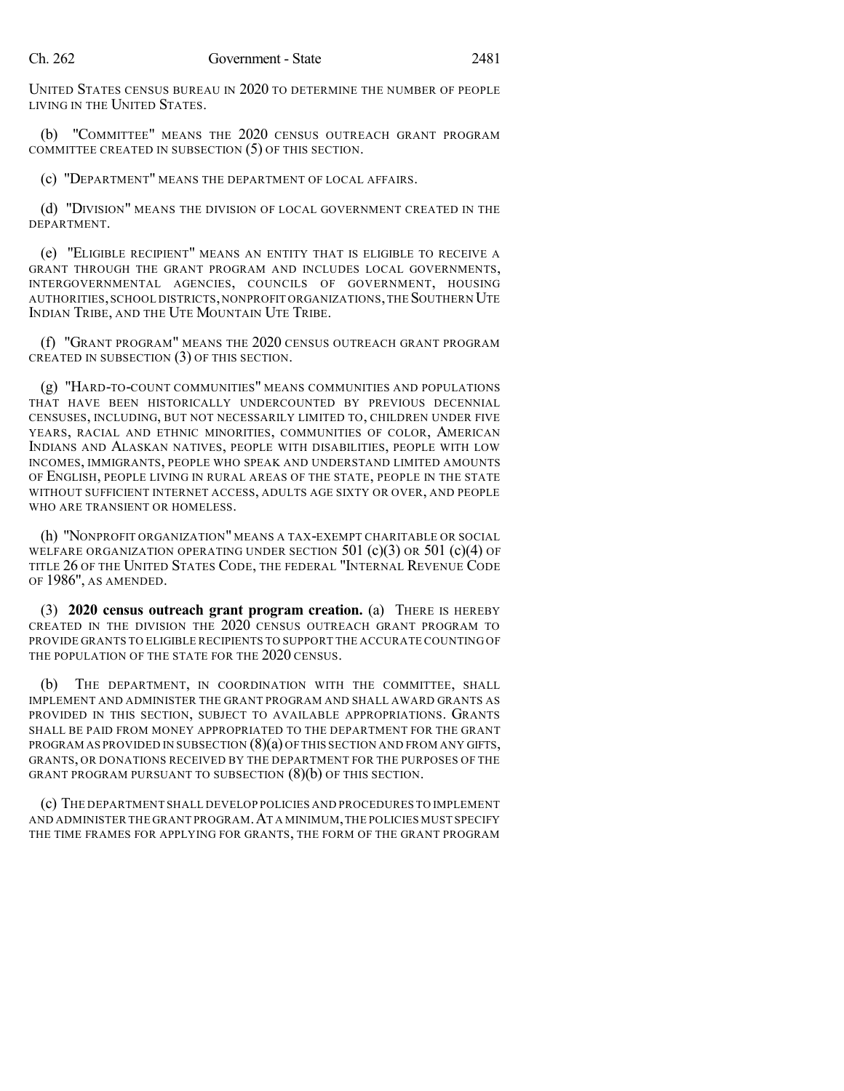UNITED STATES CENSUS BUREAU IN 2020 TO DETERMINE THE NUMBER OF PEOPLE LIVING IN THE UNITED STATES.

(b) "COMMITTEE" MEANS THE 2020 CENSUS OUTREACH GRANT PROGRAM COMMITTEE CREATED IN SUBSECTION (5) OF THIS SECTION.

(c) "DEPARTMENT" MEANS THE DEPARTMENT OF LOCAL AFFAIRS.

(d) "DIVISION" MEANS THE DIVISION OF LOCAL GOVERNMENT CREATED IN THE DEPARTMENT.

(e) "ELIGIBLE RECIPIENT" MEANS AN ENTITY THAT IS ELIGIBLE TO RECEIVE A GRANT THROUGH THE GRANT PROGRAM AND INCLUDES LOCAL GOVERNMENTS, INTERGOVERNMENTAL AGENCIES, COUNCILS OF GOVERNMENT, HOUSING AUTHORITIES,SCHOOL DISTRICTS,NONPROFIT ORGANIZATIONS,THE SOUTHERN UTE INDIAN TRIBE, AND THE UTE MOUNTAIN UTE TRIBE.

(f) "GRANT PROGRAM" MEANS THE 2020 CENSUS OUTREACH GRANT PROGRAM CREATED IN SUBSECTION (3) OF THIS SECTION.

(g) "HARD-TO-COUNT COMMUNITIES" MEANS COMMUNITIES AND POPULATIONS THAT HAVE BEEN HISTORICALLY UNDERCOUNTED BY PREVIOUS DECENNIAL CENSUSES, INCLUDING, BUT NOT NECESSARILY LIMITED TO, CHILDREN UNDER FIVE YEARS, RACIAL AND ETHNIC MINORITIES, COMMUNITIES OF COLOR, AMERICAN INDIANS AND ALASKAN NATIVES, PEOPLE WITH DISABILITIES, PEOPLE WITH LOW INCOMES, IMMIGRANTS, PEOPLE WHO SPEAK AND UNDERSTAND LIMITED AMOUNTS OF ENGLISH, PEOPLE LIVING IN RURAL AREAS OF THE STATE, PEOPLE IN THE STATE WITHOUT SUFFICIENT INTERNET ACCESS, ADULTS AGE SIXTY OR OVER, AND PEOPLE WHO ARE TRANSIENT OR HOMELESS.

(h) "NONPROFIT ORGANIZATION" MEANS A TAX-EXEMPT CHARITABLE OR SOCIAL WELFARE ORGANIZATION OPERATING UNDER SECTION  $501$  (c)(3) OR  $501$  (c)(4) OF TITLE 26 OF THE UNITED STATES CODE, THE FEDERAL "INTERNAL REVENUE CODE OF 1986", AS AMENDED.

(3) **2020 census outreach grant program creation.** (a) THERE IS HEREBY CREATED IN THE DIVISION THE 2020 CENSUS OUTREACH GRANT PROGRAM TO PROVIDE GRANTS TO ELIGIBLE RECIPIENTS TO SUPPORT THE ACCURATE COUNTING OF THE POPULATION OF THE STATE FOR THE 2020 CENSUS.

(b) THE DEPARTMENT, IN COORDINATION WITH THE COMMITTEE, SHALL IMPLEMENT AND ADMINISTER THE GRANT PROGRAM AND SHALL AWARD GRANTS AS PROVIDED IN THIS SECTION, SUBJECT TO AVAILABLE APPROPRIATIONS. GRANTS SHALL BE PAID FROM MONEY APPROPRIATED TO THE DEPARTMENT FOR THE GRANT PROGRAM AS PROVIDED IN SUBSECTION (8)(a) OF THIS SECTION AND FROM ANY GIFTS, GRANTS, OR DONATIONS RECEIVED BY THE DEPARTMENT FOR THE PURPOSES OF THE GRANT PROGRAM PURSUANT TO SUBSECTION (8)(b) OF THIS SECTION.

(c) THE DEPARTMENT SHALL DEVELOP POLICIES AND PROCEDURES TO IMPLEMENT AND ADMINISTER THE GRANT PROGRAM.AT A MINIMUM,THE POLICIES MUST SPECIFY THE TIME FRAMES FOR APPLYING FOR GRANTS, THE FORM OF THE GRANT PROGRAM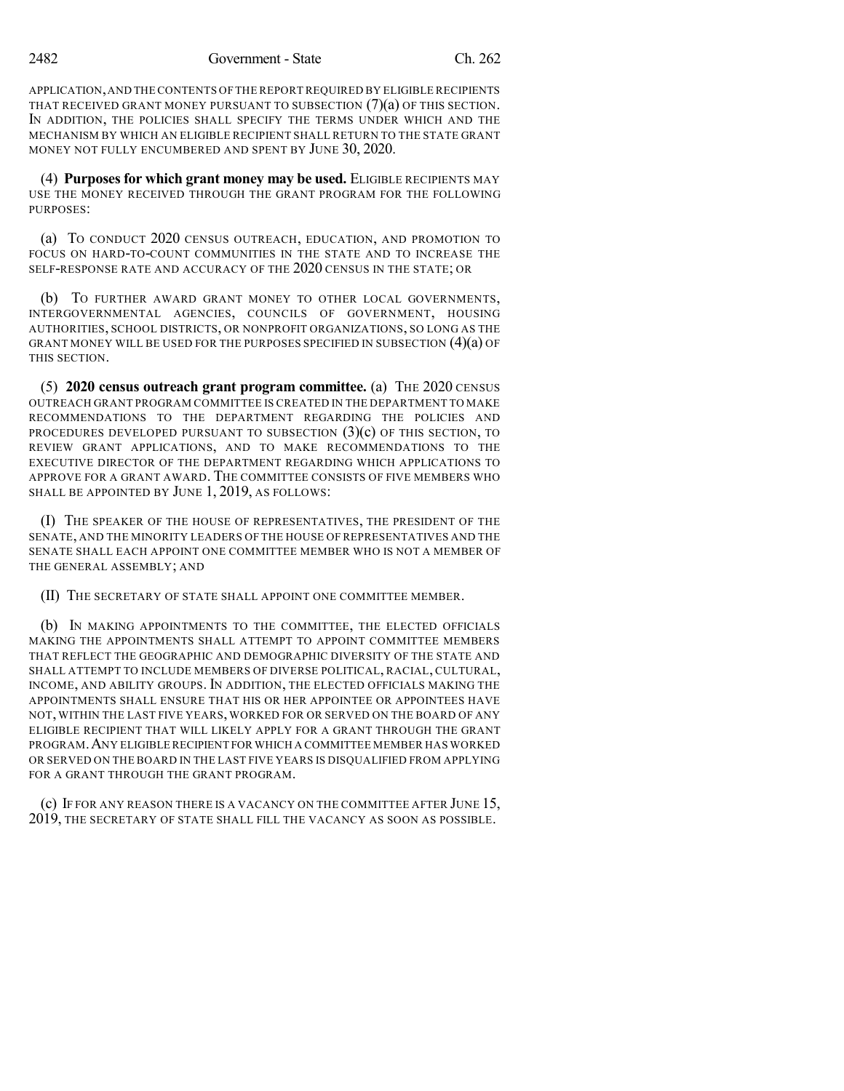APPLICATION,AND THE CONTENTS OF THE REPORT REQUIRED BY ELIGIBLE RECIPIENTS THAT RECEIVED GRANT MONEY PURSUANT TO SUBSECTION  $(7)(a)$  OF THIS SECTION. IN ADDITION, THE POLICIES SHALL SPECIFY THE TERMS UNDER WHICH AND THE MECHANISM BY WHICH AN ELIGIBLE RECIPIENT SHALL RETURN TO THE STATE GRANT MONEY NOT FULLY ENCUMBERED AND SPENT BY JUNE 30, 2020.

(4) **Purposesfor which grant money may be used.** ELIGIBLE RECIPIENTS MAY USE THE MONEY RECEIVED THROUGH THE GRANT PROGRAM FOR THE FOLLOWING PURPOSES<sup>\*</sup>

(a) TO CONDUCT 2020 CENSUS OUTREACH, EDUCATION, AND PROMOTION TO FOCUS ON HARD-TO-COUNT COMMUNITIES IN THE STATE AND TO INCREASE THE SELF-RESPONSE RATE AND ACCURACY OF THE 2020 CENSUS IN THE STATE; OR

(b) TO FURTHER AWARD GRANT MONEY TO OTHER LOCAL GOVERNMENTS, INTERGOVERNMENTAL AGENCIES, COUNCILS OF GOVERNMENT, HOUSING AUTHORITIES, SCHOOL DISTRICTS, OR NONPROFIT ORGANIZATIONS, SO LONG AS THE GRANT MONEY WILL BE USED FOR THE PURPOSES SPECIFIED IN SUBSECTION  $(4)(a)$  OF THIS SECTION.

(5) **2020 census outreach grant program committee.** (a) THE 2020 CENSUS OUTREACH GRANT PROGRAM COMMITTEE IS CREATED IN THE DEPARTMENT TO MAKE RECOMMENDATIONS TO THE DEPARTMENT REGARDING THE POLICIES AND PROCEDURES DEVELOPED PURSUANT TO SUBSECTION  $(3)(c)$  of this section, to REVIEW GRANT APPLICATIONS, AND TO MAKE RECOMMENDATIONS TO THE EXECUTIVE DIRECTOR OF THE DEPARTMENT REGARDING WHICH APPLICATIONS TO APPROVE FOR A GRANT AWARD. THE COMMITTEE CONSISTS OF FIVE MEMBERS WHO SHALL BE APPOINTED BY JUNE 1, 2019, AS FOLLOWS:

(I) THE SPEAKER OF THE HOUSE OF REPRESENTATIVES, THE PRESIDENT OF THE SENATE, AND THE MINORITY LEADERS OF THE HOUSE OF REPRESENTATIVES AND THE SENATE SHALL EACH APPOINT ONE COMMITTEE MEMBER WHO IS NOT A MEMBER OF THE GENERAL ASSEMBLY; AND

(II) THE SECRETARY OF STATE SHALL APPOINT ONE COMMITTEE MEMBER.

(b) IN MAKING APPOINTMENTS TO THE COMMITTEE, THE ELECTED OFFICIALS MAKING THE APPOINTMENTS SHALL ATTEMPT TO APPOINT COMMITTEE MEMBERS THAT REFLECT THE GEOGRAPHIC AND DEMOGRAPHIC DIVERSITY OF THE STATE AND SHALL ATTEMPT TO INCLUDE MEMBERS OF DIVERSE POLITICAL, RACIAL, CULTURAL, INCOME, AND ABILITY GROUPS. IN ADDITION, THE ELECTED OFFICIALS MAKING THE APPOINTMENTS SHALL ENSURE THAT HIS OR HER APPOINTEE OR APPOINTEES HAVE NOT, WITHIN THE LAST FIVE YEARS, WORKED FOR OR SERVED ON THE BOARD OF ANY ELIGIBLE RECIPIENT THAT WILL LIKELY APPLY FOR A GRANT THROUGH THE GRANT PROGRAM.ANY ELIGIBLE RECIPIENT FOR WHICH A COMMITTEE MEMBER HAS WORKED OR SERVED ON THE BOARD IN THE LAST FIVE YEARS IS DISQUALIFIED FROM APPLYING FOR A GRANT THROUGH THE GRANT PROGRAM.

(c) IF FOR ANY REASON THERE IS A VACANCY ON THE COMMITTEE AFTER JUNE 15, 2019, THE SECRETARY OF STATE SHALL FILL THE VACANCY AS SOON AS POSSIBLE.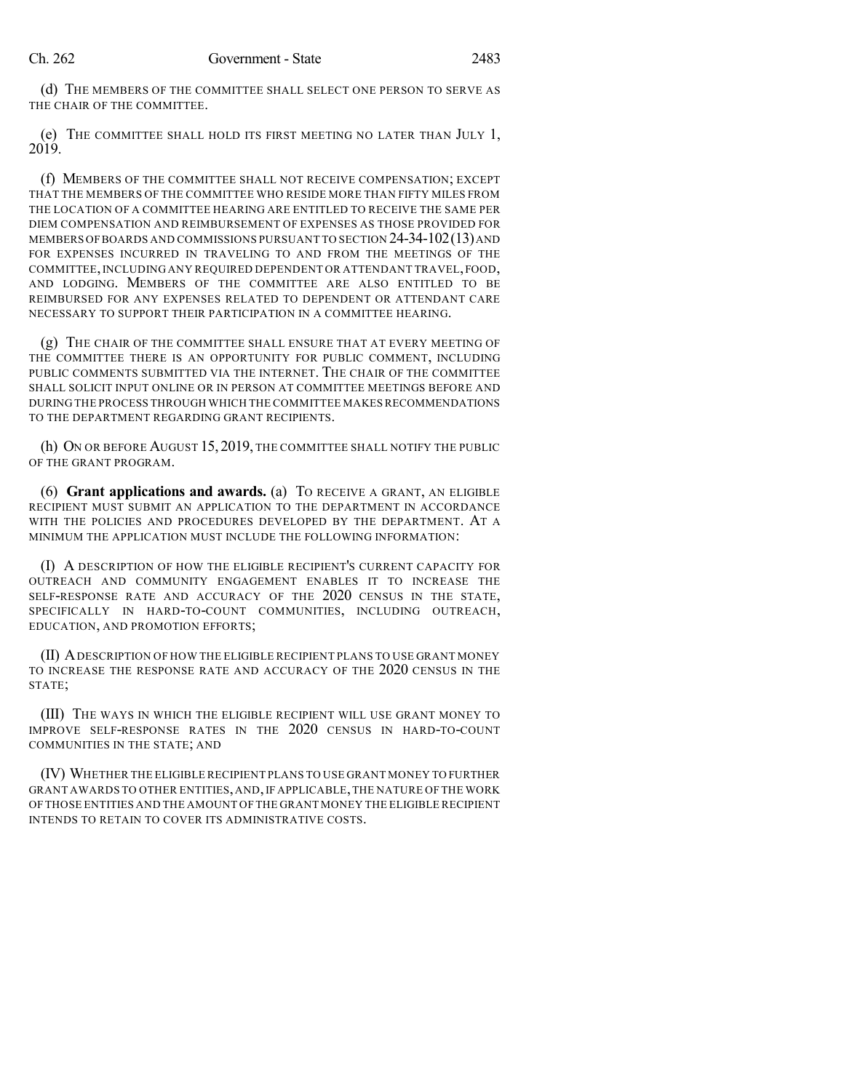(d) THE MEMBERS OF THE COMMITTEE SHALL SELECT ONE PERSON TO SERVE AS THE CHAIR OF THE COMMITTEE.

(e) THE COMMITTEE SHALL HOLD ITS FIRST MEETING NO LATER THAN JULY 1, 2019.

(f) MEMBERS OF THE COMMITTEE SHALL NOT RECEIVE COMPENSATION; EXCEPT THAT THE MEMBERS OF THE COMMITTEE WHO RESIDE MORE THAN FIFTY MILES FROM THE LOCATION OF A COMMITTEE HEARING ARE ENTITLED TO RECEIVE THE SAME PER DIEM COMPENSATION AND REIMBURSEMENT OF EXPENSES AS THOSE PROVIDED FOR MEMBERS OF BOARDS AND COMMISSIONS PURSUANT TO SECTION 24-34-102(13) AND FOR EXPENSES INCURRED IN TRAVELING TO AND FROM THE MEETINGS OF THE COMMITTEE, INCLUDING ANY REQUIRED DEPENDENT OR ATTENDANT TRAVEL, FOOD, AND LODGING. MEMBERS OF THE COMMITTEE ARE ALSO ENTITLED TO BE REIMBURSED FOR ANY EXPENSES RELATED TO DEPENDENT OR ATTENDANT CARE NECESSARY TO SUPPORT THEIR PARTICIPATION IN A COMMITTEE HEARING.

(g) THE CHAIR OF THE COMMITTEE SHALL ENSURE THAT AT EVERY MEETING OF THE COMMITTEE THERE IS AN OPPORTUNITY FOR PUBLIC COMMENT, INCLUDING PUBLIC COMMENTS SUBMITTED VIA THE INTERNET. THE CHAIR OF THE COMMITTEE SHALL SOLICIT INPUT ONLINE OR IN PERSON AT COMMITTEE MEETINGS BEFORE AND DURING THE PROCESS THROUGH WHICH THE COMMITTEE MAKESRECOMMENDATIONS TO THE DEPARTMENT REGARDING GRANT RECIPIENTS.

(h) ON OR BEFORE AUGUST 15, 2019, THE COMMITTEE SHALL NOTIFY THE PUBLIC OF THE GRANT PROGRAM.

(6) **Grant applications and awards.** (a) TO RECEIVE A GRANT, AN ELIGIBLE RECIPIENT MUST SUBMIT AN APPLICATION TO THE DEPARTMENT IN ACCORDANCE WITH THE POLICIES AND PROCEDURES DEVELOPED BY THE DEPARTMENT. AT A MINIMUM THE APPLICATION MUST INCLUDE THE FOLLOWING INFORMATION:

(I) A DESCRIPTION OF HOW THE ELIGIBLE RECIPIENT'S CURRENT CAPACITY FOR OUTREACH AND COMMUNITY ENGAGEMENT ENABLES IT TO INCREASE THE SELF-RESPONSE RATE AND ACCURACY OF THE 2020 CENSUS IN THE STATE, SPECIFICALLY IN HARD-TO-COUNT COMMUNITIES, INCLUDING OUTREACH, EDUCATION, AND PROMOTION EFFORTS;

(II) ADESCRIPTION OF HOW THE ELIGIBLE RECIPIENT PLANS TO USE GRANT MONEY TO INCREASE THE RESPONSE RATE AND ACCURACY OF THE 2020 CENSUS IN THE STATE;

(III) THE WAYS IN WHICH THE ELIGIBLE RECIPIENT WILL USE GRANT MONEY TO IMPROVE SELF-RESPONSE RATES IN THE 2020 CENSUS IN HARD-TO-COUNT COMMUNITIES IN THE STATE; AND

(IV) WHETHER THE ELIGIBLE RECIPIENT PLANS TO USE GRANT MONEY TO FURTHER GRANT AWARDS TO OTHER ENTITIES, AND, IF APPLICABLE, THE NATURE OF THE WORK OF THOSE ENTITIES AND THE AMOUNT OF THE GRANT MONEY THE ELIGIBLE RECIPIENT INTENDS TO RETAIN TO COVER ITS ADMINISTRATIVE COSTS.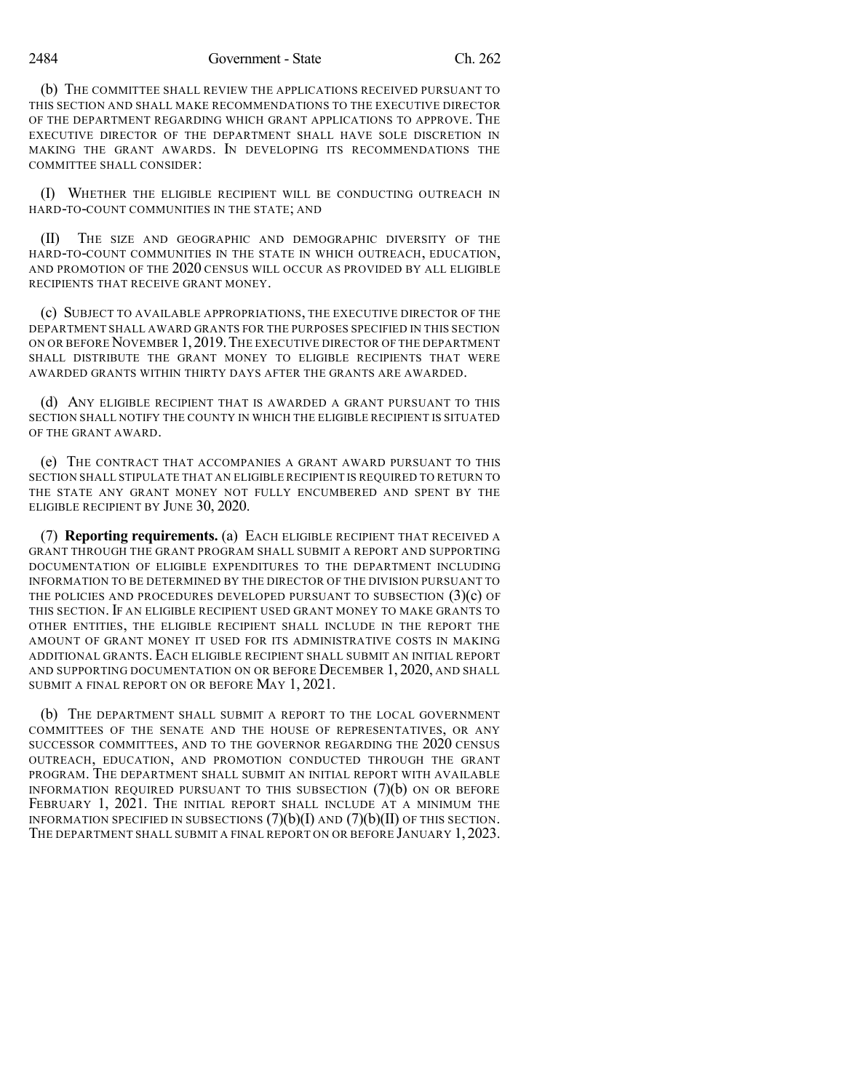2484 Government - State Ch. 262

(b) THE COMMITTEE SHALL REVIEW THE APPLICATIONS RECEIVED PURSUANT TO THIS SECTION AND SHALL MAKE RECOMMENDATIONS TO THE EXECUTIVE DIRECTOR OF THE DEPARTMENT REGARDING WHICH GRANT APPLICATIONS TO APPROVE. THE EXECUTIVE DIRECTOR OF THE DEPARTMENT SHALL HAVE SOLE DISCRETION IN MAKING THE GRANT AWARDS. IN DEVELOPING ITS RECOMMENDATIONS THE COMMITTEE SHALL CONSIDER:

(I) WHETHER THE ELIGIBLE RECIPIENT WILL BE CONDUCTING OUTREACH IN HARD-TO-COUNT COMMUNITIES IN THE STATE; AND

(II) THE SIZE AND GEOGRAPHIC AND DEMOGRAPHIC DIVERSITY OF THE HARD-TO-COUNT COMMUNITIES IN THE STATE IN WHICH OUTREACH, EDUCATION, AND PROMOTION OF THE 2020 CENSUS WILL OCCUR AS PROVIDED BY ALL ELIGIBLE RECIPIENTS THAT RECEIVE GRANT MONEY.

(c) SUBJECT TO AVAILABLE APPROPRIATIONS, THE EXECUTIVE DIRECTOR OF THE DEPARTMENT SHALL AWARD GRANTS FOR THE PURPOSES SPECIFIED IN THIS SECTION ON OR BEFORE NOVEMBER 1,2019.THE EXECUTIVE DIRECTOR OF THE DEPARTMENT SHALL DISTRIBUTE THE GRANT MONEY TO ELIGIBLE RECIPIENTS THAT WERE AWARDED GRANTS WITHIN THIRTY DAYS AFTER THE GRANTS ARE AWARDED.

(d) ANY ELIGIBLE RECIPIENT THAT IS AWARDED A GRANT PURSUANT TO THIS SECTION SHALL NOTIFY THE COUNTY IN WHICH THE ELIGIBLE RECIPIENT IS SITUATED OF THE GRANT AWARD.

(e) THE CONTRACT THAT ACCOMPANIES A GRANT AWARD PURSUANT TO THIS SECTION SHALL STIPULATE THAT AN ELIGIBLE RECIPIENT IS REQUIRED TO RETURN TO THE STATE ANY GRANT MONEY NOT FULLY ENCUMBERED AND SPENT BY THE ELIGIBLE RECIPIENT BY JUNE 30, 2020.

(7) **Reporting requirements.** (a) EACH ELIGIBLE RECIPIENT THAT RECEIVED A GRANT THROUGH THE GRANT PROGRAM SHALL SUBMIT A REPORT AND SUPPORTING DOCUMENTATION OF ELIGIBLE EXPENDITURES TO THE DEPARTMENT INCLUDING INFORMATION TO BE DETERMINED BY THE DIRECTOR OF THE DIVISION PURSUANT TO THE POLICIES AND PROCEDURES DEVELOPED PURSUANT TO SUBSECTION  $(3)(c)$  OF THIS SECTION. IF AN ELIGIBLE RECIPIENT USED GRANT MONEY TO MAKE GRANTS TO OTHER ENTITIES, THE ELIGIBLE RECIPIENT SHALL INCLUDE IN THE REPORT THE AMOUNT OF GRANT MONEY IT USED FOR ITS ADMINISTRATIVE COSTS IN MAKING ADDITIONAL GRANTS. EACH ELIGIBLE RECIPIENT SHALL SUBMIT AN INITIAL REPORT AND SUPPORTING DOCUMENTATION ON OR BEFORE DECEMBER 1, 2020, AND SHALL SUBMIT A FINAL REPORT ON OR BEFORE MAY 1, 2021.

(b) THE DEPARTMENT SHALL SUBMIT A REPORT TO THE LOCAL GOVERNMENT COMMITTEES OF THE SENATE AND THE HOUSE OF REPRESENTATIVES, OR ANY SUCCESSOR COMMITTEES, AND TO THE GOVERNOR REGARDING THE 2020 CENSUS OUTREACH, EDUCATION, AND PROMOTION CONDUCTED THROUGH THE GRANT PROGRAM. THE DEPARTMENT SHALL SUBMIT AN INITIAL REPORT WITH AVAILABLE INFORMATION REQUIRED PURSUANT TO THIS SUBSECTION  $(7)(b)$  ON OR BEFORE FEBRUARY 1, 2021. THE INITIAL REPORT SHALL INCLUDE AT A MINIMUM THE INFORMATION SPECIFIED IN SUBSECTIONS  $(7)(b)(I)$  and  $(7)(b)(II)$  of this section. THE DEPARTMENT SHALL SUBMIT A FINAL REPORT ON OR BEFORE JANUARY 1, 2023.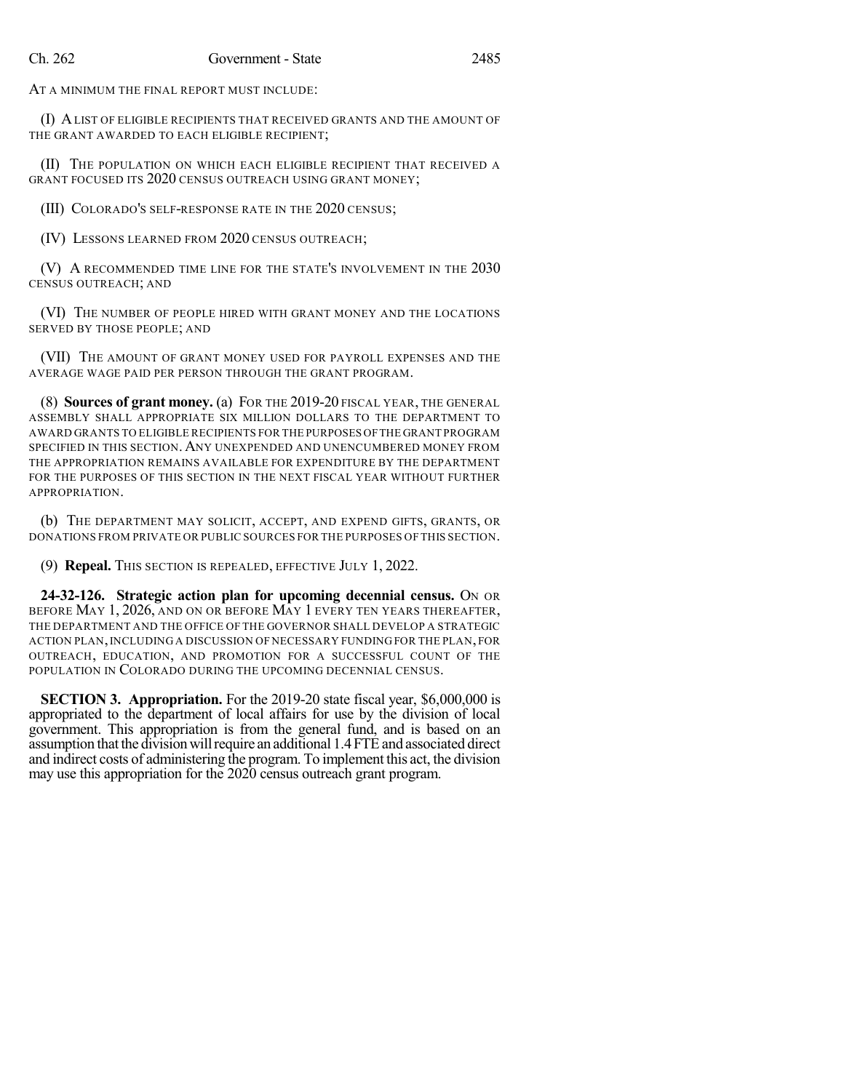AT A MINIMUM THE FINAL REPORT MUST INCLUDE:

(I) ALIST OF ELIGIBLE RECIPIENTS THAT RECEIVED GRANTS AND THE AMOUNT OF THE GRANT AWARDED TO EACH ELIGIBLE RECIPIENT;

(II) THE POPULATION ON WHICH EACH ELIGIBLE RECIPIENT THAT RECEIVED A GRANT FOCUSED ITS 2020 CENSUS OUTREACH USING GRANT MONEY;

(III) COLORADO'S SELF-RESPONSE RATE IN THE 2020 CENSUS;

(IV) LESSONS LEARNED FROM 2020 CENSUS OUTREACH;

(V) A RECOMMENDED TIME LINE FOR THE STATE'S INVOLVEMENT IN THE 2030 CENSUS OUTREACH; AND

(VI) THE NUMBER OF PEOPLE HIRED WITH GRANT MONEY AND THE LOCATIONS SERVED BY THOSE PEOPLE; AND

(VII) THE AMOUNT OF GRANT MONEY USED FOR PAYROLL EXPENSES AND THE AVERAGE WAGE PAID PER PERSON THROUGH THE GRANT PROGRAM.

(8) **Sources of grant money.** (a) FOR THE 2019-20 FISCAL YEAR, THE GENERAL ASSEMBLY SHALL APPROPRIATE SIX MILLION DOLLARS TO THE DEPARTMENT TO AWARD GRANTS TO ELIGIBLE RECIPIENTS FOR THE PURPOSES OFTHE GRANT PROGRAM SPECIFIED IN THIS SECTION. ANY UNEXPENDED AND UNENCUMBERED MONEY FROM THE APPROPRIATION REMAINS AVAILABLE FOR EXPENDITURE BY THE DEPARTMENT FOR THE PURPOSES OF THIS SECTION IN THE NEXT FISCAL YEAR WITHOUT FURTHER APPROPRIATION.

(b) THE DEPARTMENT MAY SOLICIT, ACCEPT, AND EXPEND GIFTS, GRANTS, OR DONATIONS FROM PRIVATE OR PUBLIC SOURCES FOR THE PURPOSES OF THIS SECTION.

(9) **Repeal.** THIS SECTION IS REPEALED, EFFECTIVE JULY 1, 2022.

**24-32-126. Strategic action plan for upcoming decennial census.** ON OR BEFORE MAY 1, 2026, AND ON OR BEFORE MAY 1 EVERY TEN YEARS THEREAFTER, THE DEPARTMENT AND THE OFFICE OF THE GOVERNOR SHALL DEVELOP A STRATEGIC ACTION PLAN,INCLUDING A DISCUSSION OF NECESSARY FUNDING FOR THE PLAN, FOR OUTREACH, EDUCATION, AND PROMOTION FOR A SUCCESSFUL COUNT OF THE POPULATION IN COLORADO DURING THE UPCOMING DECENNIAL CENSUS.

**SECTION 3. Appropriation.** For the 2019-20 state fiscal year, \$6,000,000 is appropriated to the department of local affairs for use by the division of local government. This appropriation is from the general fund, and is based on an assumption that the division will require an additional 1.4 FTE and associated direct and indirect costs of administering the program. To implement this act, the division may use this appropriation for the 2020 census outreach grant program.